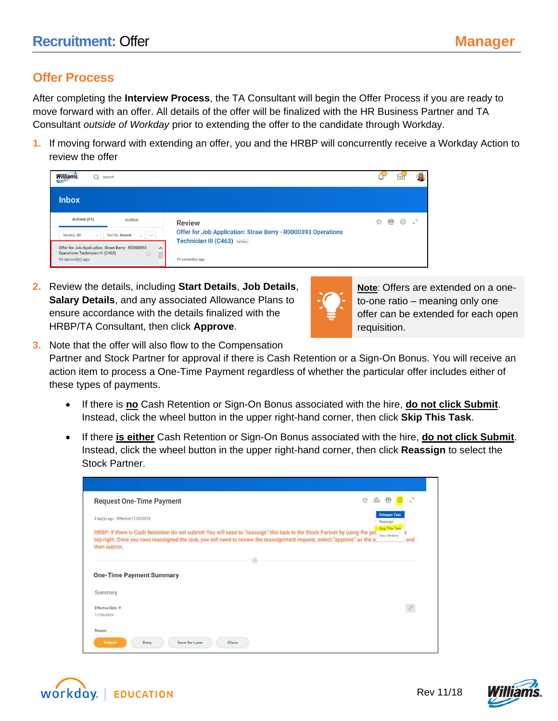## **Offer Process**

After completing the **Interview Process**, the TA Consultant will begin the Offer Process if you are ready to move forward with an offer. All details of the offer will be finalized with the HR Business Partner and TA Consultant *outside of Workday* prior to extending the offer to the candidate through Workday.

**1.** If moving forward with extending an offer, you and the HRBP will concurrently receive a Workday Action to review the offer

| <b>Williams</b><br>Search<br>Q                                                                                                                                                                    |                                                                                                                  |   | ₩ |  |
|---------------------------------------------------------------------------------------------------------------------------------------------------------------------------------------------------|------------------------------------------------------------------------------------------------------------------|---|---|--|
| <b>Inbox</b>                                                                                                                                                                                      |                                                                                                                  |   |   |  |
| Actions (61)<br>Archive<br>$\vee$ $\vee$<br>Sort By: Newest<br>Viewing: All<br>$\mathcal{L}$<br>Offer for Job Application: Straw Berry - R0000393<br>$\wedge$<br>Operations Technician III (C463) | <b>Review</b><br>Offer for Job Application: Straw Berry - R0000393 Operations<br>Technician III (C463) (Actions) | 轡 | 요 |  |
| 立<br>54 second(s) ago                                                                                                                                                                             | 54 second(s) ago                                                                                                 |   |   |  |

**2.** Review the details, including **Start Details**, **Job Details**, **Salary Details**, and any associated Allowance Plans to ensure accordance with the details finalized with the HRBP/TA Consultant, then click **Approve**.



**Note**: Offers are extended on a oneto-one ratio – meaning only one offer can be extended for each open requisition.

- **3.** Note that the offer will also flow to the Compensation Partner and Stock Partner for approval if there is Cash Retention or a Sign-On Bonus. You will receive an action item to process a One-Time Payment regardless of whether the particular offer includes either of these types of payments.
	- If there is **no** Cash Retention or Sign-On Bonus associated with the hire, **do not click Submit**. Instead, click the wheel button in the upper right-hand corner, then click **Skip This Task**.
	- If there **is either** Cash Retention or Sign-On Bonus associated with the hire, **do not click Submit**. Instead, click the wheel button in the upper right-hand corner, then click **Reassign** to select the Stock Partner.

| <b>Request One-Time Payment</b>     | $\mathcal{C}^{\dagger}$<br>ŵ<br>0Üo<br>帶                                                                                                                                                                                                                                                          |
|-------------------------------------|---------------------------------------------------------------------------------------------------------------------------------------------------------------------------------------------------------------------------------------------------------------------------------------------------|
| 3 day(s) ago - Effective 11/05/2018 | <b>Delegate Task</b><br>Reassign                                                                                                                                                                                                                                                                  |
| then submit.                        | Skip This Task<br>HRBP: If there is Cash Retention do not submit! You will need to "reassign" this task to the Stock Partner by using the get<br>View Details<br>top right. Once you have reassigned the task, you will need to review the reassignment request, select "approve" as the a<br>and |
|                                     | ×,                                                                                                                                                                                                                                                                                                |
|                                     |                                                                                                                                                                                                                                                                                                   |
| <b>One-Time Payment Summary</b>     |                                                                                                                                                                                                                                                                                                   |
|                                     |                                                                                                                                                                                                                                                                                                   |
| Summary<br>Effective Date *         | $\mathcal{O}$                                                                                                                                                                                                                                                                                     |
| 11/05/2018                          |                                                                                                                                                                                                                                                                                                   |